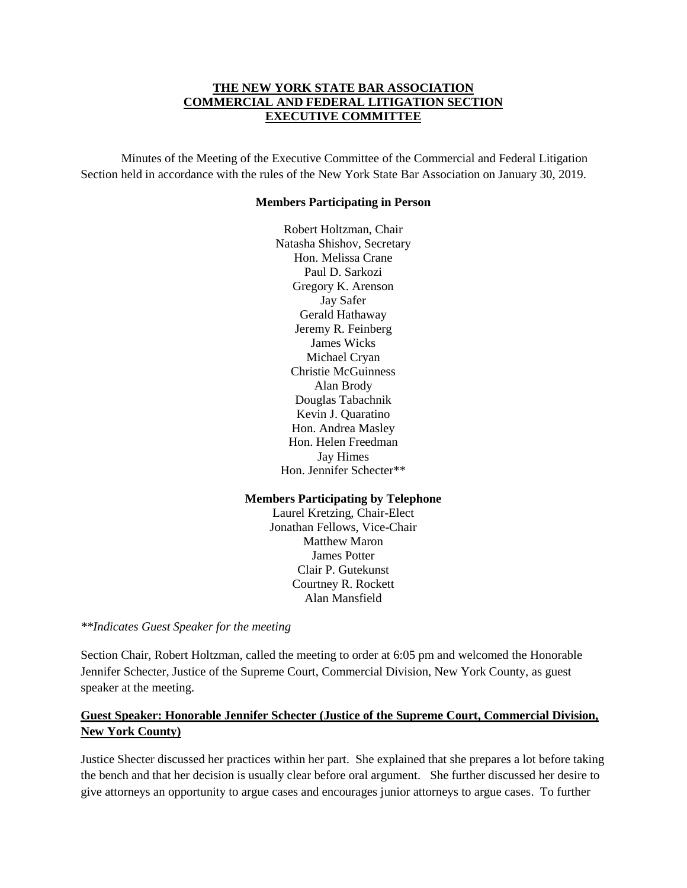#### **THE NEW YORK STATE BAR ASSOCIATION COMMERCIAL AND FEDERAL LITIGATION SECTION EXECUTIVE COMMITTEE**

Minutes of the Meeting of the Executive Committee of the Commercial and Federal Litigation Section held in accordance with the rules of the New York State Bar Association on January 30, 2019.

#### **Members Participating in Person**

Robert Holtzman, Chair Natasha Shishov, Secretary Hon. Melissa Crane Paul D. Sarkozi Gregory K. Arenson Jay Safer Gerald Hathaway Jeremy R. Feinberg James Wicks Michael Cryan Christie McGuinness Alan Brody Douglas Tabachnik Kevin J. Quaratino Hon. Andrea Masley Hon. Helen Freedman Jay Himes Hon. Jennifer Schecter\*\*

#### **Members Participating by Telephone**

Laurel Kretzing, Chair-Elect Jonathan Fellows, Vice-Chair Matthew Maron James Potter Clair P. Gutekunst Courtney R. Rockett Alan Mansfield

*\*\*Indicates Guest Speaker for the meeting*

Section Chair, Robert Holtzman, called the meeting to order at 6:05 pm and welcomed the Honorable Jennifer Schecter, Justice of the Supreme Court, Commercial Division, New York County, as guest speaker at the meeting.

# **Guest Speaker: Honorable Jennifer Schecter (Justice of the Supreme Court, Commercial Division, New York County)**

Justice Shecter discussed her practices within her part. She explained that she prepares a lot before taking the bench and that her decision is usually clear before oral argument. She further discussed her desire to give attorneys an opportunity to argue cases and encourages junior attorneys to argue cases. To further